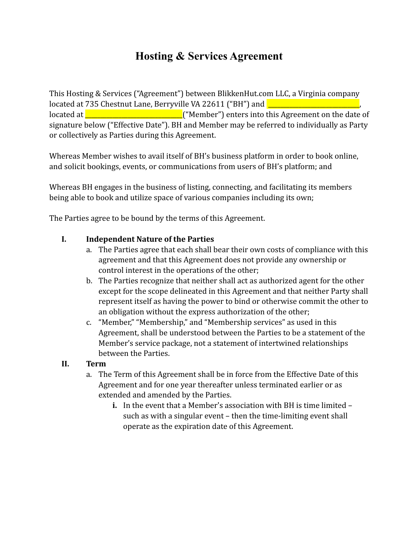# **Hosting & Services Agreement**

This Hosting & Services ("Agreement") between BlikkenHut.com LLC, a Virginia company located at 735 Chestnut Lane, Berryville VA 22611 ("BH") and **Land Land Land Land Land Land Land Land**  $\frac{1}{2}$  located at  $\frac{1}{2}$  at  $\frac{1}{2}$  at  $\frac{1}{2}$  ("Member") enters into this Agreement on the date of signature below ("Effective Date"). BH and Member may be referred to individually as Party or collectively as Parties during this Agreement.

Whereas Member wishes to avail itself of BH's business platform in order to book online, and solicit bookings, events, or communications from users of BH's platform; and

Whereas BH engages in the business of listing, connecting, and facilitating its members being able to book and utilize space of various companies including its own;

The Parties agree to be bound by the terms of this Agreement.

#### **I. Independent Nature of the Parties**

- a. The Parties agree that each shall bear their own costs of compliance with this agreement and that this Agreement does not provide any ownership or control interest in the operations of the other;
- b. The Parties recognize that neither shall act as authorized agent for the other except for the scope delineated in this Agreement and that neither Party shall represent itself as having the power to bind or otherwise commit the other to an obligation without the express authorization of the other;
- c. "Member," "Membership," and "Membership services" as used in this Agreement, shall be understood between the Parties to be a statement of the Member's service package, not a statement of intertwined relationships between the Parties.
- **II. Term**
	- a. The Term of this Agreement shall be in force from the Effective Date of this Agreement and for one year thereafter unless terminated earlier or as extended and amended by the Parties.
		- **i.** In the event that a Member's association with BH is time limited such as with a singular event – then the time-limiting event shall operate as the expiration date of this Agreement.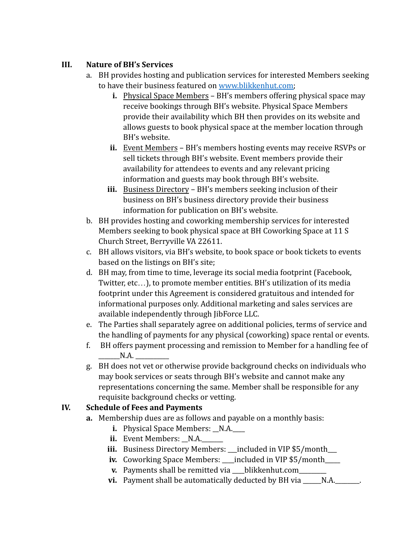# **III. Nature of BH's Services**

- a. BH provides hosting and publication services for interested Members seeking to have their business featured on [www.blikkenhut.com;](http://www.blikkenhut.com)
	- **i.** Physical Space Members BH's members offering physical space may receive bookings through BH's website. Physical Space Members provide their availability which BH then provides on its website and allows guests to book physical space at the member location through BH's website.
	- **ii.** Event Members BH's members hosting events may receive RSVPs or sell tickets through BH's website. Event members provide their availability for attendees to events and any relevant pricing information and guests may book through BH's website.
	- **iii.** Business Directory BH's members seeking inclusion of their business on BH's business directory provide their business information for publication on BH's website.
- b. BH provides hosting and coworking membership services for interested Members seeking to book physical space at BH Coworking Space at 11 S Church Street, Berryville VA 22611.
- c. BH allows visitors, via BH's website, to book space or book tickets to events based on the listings on BH's site;
- d. BH may, from time to time, leverage its social media footprint (Facebook, Twitter, etc…), to promote member entities. BH's utilization of its media footprint under this Agreement is considered gratuitous and intended for informational purposes only. Additional marketing and sales services are available independently through JibForce LLC.
- e. The Parties shall separately agree on additional policies, terms of service and the handling of payments for any physical (coworking) space rental or events.
- f. BH offers payment processing and remission to Member for a handling fee of  $N.A.$
- g. BH does not vet or otherwise provide background checks on individuals who may book services or seats through BH's website and cannot make any representations concerning the same. Member shall be responsible for any requisite background checks or vetting.

# **IV. Schedule of Fees and Payments**

- **a.** Membership dues are as follows and payable on a monthly basis:
	- **i.** Physical Space Members: \_N.A.
	- **ii.** Event Members: N.A.
	- **iii.** Business Directory Members: \_\_\_included in VIP \$5/month\_\_\_
	- **iv.** Coworking Space Members: \_\_\_included in VIP \$5/month\_\_\_\_
	- **v.** Payments shall be remitted via \_\_\_blikkenhut.com\_\_\_\_\_\_\_
	- **vi.** Payment shall be automatically deducted by BH via \_\_\_\_\_N.A.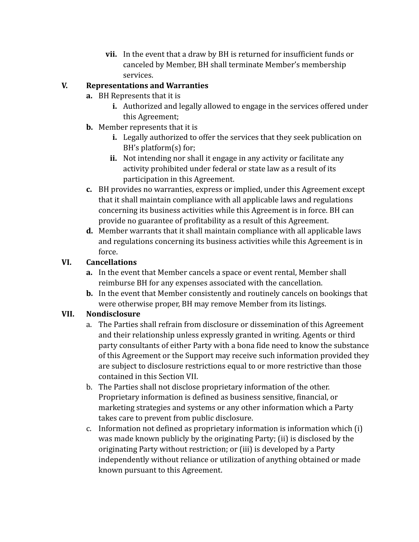**vii.** In the event that a draw by BH is returned for insufficient funds or canceled by Member, BH shall terminate Member's membership services.

# **V. Representations and Warranties**

- **a.** BH Represents that it is
	- **i.** Authorized and legally allowed to engage in the services offered under this Agreement;
- **b.** Member represents that it is
	- **i.** Legally authorized to offer the services that they seek publication on BH's platform(s) for;
	- **ii.** Not intending nor shall it engage in any activity or facilitate any activity prohibited under federal or state law as a result of its participation in this Agreement.
- **c.** BH provides no warranties, express or implied, under this Agreement except that it shall maintain compliance with all applicable laws and regulations concerning its business activities while this Agreement is in force. BH can provide no guarantee of profitability as a result of this Agreement.
- **d.** Member warrants that it shall maintain compliance with all applicable laws and regulations concerning its business activities while this Agreement is in force.

# **VI. Cancellations**

- **a.** In the event that Member cancels a space or event rental, Member shall reimburse BH for any expenses associated with the cancellation.
- **b.** In the event that Member consistently and routinely cancels on bookings that were otherwise proper, BH may remove Member from its listings.

#### **VII. Nondisclosure**

- a. The Parties shall refrain from disclosure or dissemination of this Agreement and their relationship unless expressly granted in writing. Agents or third party consultants of either Party with a bona fide need to know the substance of this Agreement or the Support may receive such information provided they are subject to disclosure restrictions equal to or more restrictive than those contained in this Section VII.
- b. The Parties shall not disclose proprietary information of the other. Proprietary information is defined as business sensitive, financial, or marketing strategies and systems or any other information which a Party takes care to prevent from public disclosure.
- c. Information not defined as proprietary information is information which (i) was made known publicly by the originating Party; (ii) is disclosed by the originating Party without restriction; or (iii) is developed by a Party independently without reliance or utilization of anything obtained or made known pursuant to this Agreement.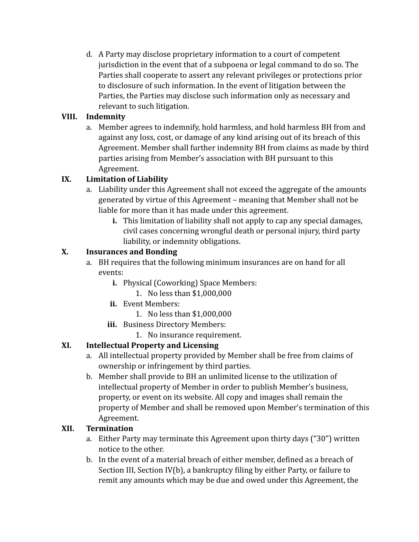d. A Party may disclose proprietary information to a court of competent jurisdiction in the event that of a subpoena or legal command to do so. The Parties shall cooperate to assert any relevant privileges or protections prior to disclosure of such information. In the event of litigation between the Parties, the Parties may disclose such information only as necessary and relevant to such litigation.

# **VIII. Indemnity**

a. Member agrees to indemnify, hold harmless, and hold harmless BH from and against any loss, cost, or damage of any kind arising out of its breach of this Agreement. Member shall further indemnity BH from claims as made by third parties arising from Member's association with BH pursuant to this Agreement.

# **IX. Limitation of Liability**

- a. Liability under this Agreement shall not exceed the aggregate of the amounts generated by virtue of this Agreement – meaning that Member shall not be liable for more than it has made under this agreement.
	- **i.** This limitation of liability shall not apply to cap any special damages, civil cases concerning wrongful death or personal injury, third party liability, or indemnity obligations.

# **X. Insurances and Bonding**

- a. BH requires that the following minimum insurances are on hand for all events:
	- **i.** Physical (Coworking) Space Members:
		- 1. No less than \$1,000,000
	- **ii.** Event Members:
		- 1. No less than \$1,000,000
	- **iii.** Business Directory Members:
		- 1. No insurance requirement.

# **XI. Intellectual Property and Licensing**

- a. All intellectual property provided by Member shall be free from claims of ownership or infringement by third parties.
- b. Member shall provide to BH an unlimited license to the utilization of intellectual property of Member in order to publish Member's business, property, or event on its website. All copy and images shall remain the property of Member and shall be removed upon Member's termination of this Agreement.

# **XII. Termination**

- a. Either Party may terminate this Agreement upon thirty days ("30") written notice to the other.
- b. In the event of a material breach of either member, defined as a breach of Section III, Section IV(b), a bankruptcy filing by either Party, or failure to remit any amounts which may be due and owed under this Agreement, the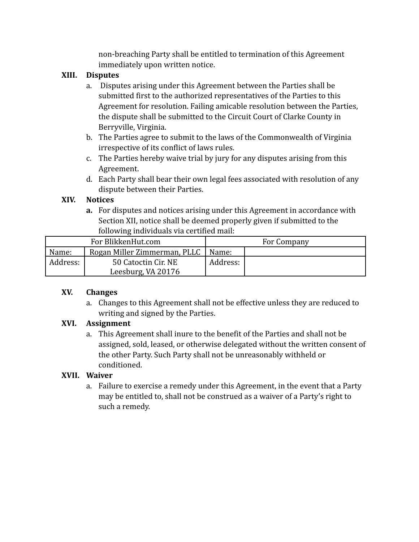non-breaching Party shall be entitled to termination of this Agreement immediately upon written notice.

#### **XIII. Disputes**

- a. Disputes arising under this Agreement between the Parties shall be submitted first to the authorized representatives of the Parties to this Agreement for resolution. Failing amicable resolution between the Parties, the dispute shall be submitted to the Circuit Court of Clarke County in Berryville, Virginia.
- b. The Parties agree to submit to the laws of the Commonwealth of Virginia irrespective of its conflict of laws rules.
- c. The Parties hereby waive trial by jury for any disputes arising from this Agreement.
- d. Each Party shall bear their own legal fees associated with resolution of any dispute between their Parties.

#### **XIV. Notices**

**a.** For disputes and notices arising under this Agreement in accordance with Section XII, notice shall be deemed properly given if submitted to the following individuals via certified mail:

| For BlikkenHut.com |                              | For Company |  |
|--------------------|------------------------------|-------------|--|
| Name:              | Rogan Miller Zimmerman, PLLC | Name:       |  |
| Address:           | 50 Catoctin Cir. NE          | Address:    |  |
|                    | Leesburg, VA 20176           |             |  |

#### **XV. Changes**

a. Changes to this Agreement shall not be effective unless they are reduced to writing and signed by the Parties.

#### **XVI. Assignment**

a. This Agreement shall inure to the benefit of the Parties and shall not be assigned, sold, leased, or otherwise delegated without the written consent of the other Party. Such Party shall not be unreasonably withheld or conditioned.

#### **XVII. Waiver**

a. Failure to exercise a remedy under this Agreement, in the event that a Party may be entitled to, shall not be construed as a waiver of a Party's right to such a remedy.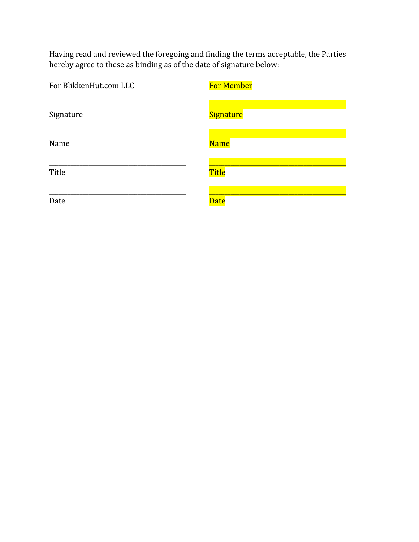Having read and reviewed the foregoing and finding the terms acceptable, the Parties hereby agree to these as binding as of the date of signature below:

| For BlikkenHut.com LLC | <b>For Member</b> |  |
|------------------------|-------------------|--|
| Signature              | Signature         |  |
| Name                   | <b>Name</b>       |  |
| Title                  | <b>Title</b>      |  |
| Date                   | <b>Date</b>       |  |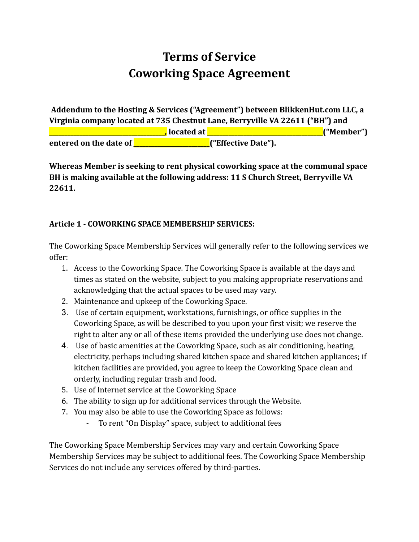# **Terms of Service Coworking Space Agreement**

**Addendum to the Hosting & Services ("Agreement") between BlikkenHut.com LLC, a Virginia company located at 735 Chestnut Lane, Berryville VA 22611 ("BH") and \_\_\_\_\_\_\_\_\_\_\_\_\_\_\_\_\_\_\_\_\_\_\_\_\_\_\_\_\_\_\_\_\_\_\_\_\_\_, located at \_\_\_\_\_\_\_\_\_\_\_\_\_\_\_\_\_\_\_\_\_\_\_\_\_\_\_\_\_\_\_\_\_\_\_\_\_\_("Member") entered on the date of \_\_\_\_\_\_\_\_\_\_\_\_\_\_\_\_\_\_\_\_\_\_\_\_\_("Effective Date").**

**Whereas Member is seeking to rent physical coworking space at the communal space BH is making available at the following address: 11 S Church Street, Berryville VA 22611.**

#### **Article 1 - COWORKING SPACE MEMBERSHIP SERVICES:**

The Coworking Space Membership Services will generally refer to the following services we offer:

- 1. Access to the Coworking Space. The Coworking Space is available at the days and times as stated on the website, subject to you making appropriate reservations and acknowledging that the actual spaces to be used may vary.
- 2. Maintenance and upkeep of the Coworking Space.
- 3. Use of certain equipment, workstations, furnishings, or office supplies in the Coworking Space, as will be described to you upon your first visit; we reserve the right to alter any or all of these items provided the underlying use does not change.
- 4. Use of basic amenities at the Coworking Space, such as air conditioning, heating, electricity, perhaps including shared kitchen space and shared kitchen appliances; if kitchen facilities are provided, you agree to keep the Coworking Space clean and orderly, including regular trash and food.
- 5. Use of Internet service at the Coworking Space
- 6. The ability to sign up for additional services through the Website.
- 7. You may also be able to use the Coworking Space as follows:
	- To rent "On Display" space, subject to additional fees

The Coworking Space Membership Services may vary and certain Coworking Space Membership Services may be subject to additional fees. The Coworking Space Membership Services do not include any services offered by third-parties.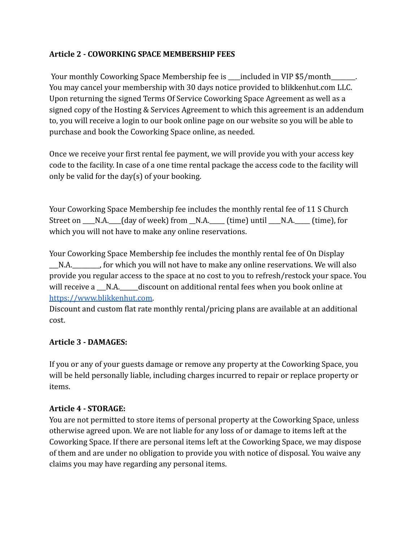#### **Article 2 - COWORKING SPACE MEMBERSHIP FEES**

Your monthly Coworking Space Membership fee is \_\_\_\_\_\_\_\_\_\_\_\_\_\_\_\_\_\_\_\_\_\_\_\_\_\_\_\_\_\_\_\_\_ You may cancel your membership with 30 days notice provided to blikkenhut.com LLC. Upon returning the signed Terms Of Service Coworking Space Agreement as well as a signed copy of the Hosting & Services Agreement to which this agreement is an addendum to, you will receive a login to our book online page on our website so you will be able to purchase and book the Coworking Space online, as needed.

Once we receive your first rental fee payment, we will provide you with your access key code to the facility. In case of a one time rental package the access code to the facility will only be valid for the day(s) of your booking.

Your Coworking Space Membership fee includes the monthly rental fee of 11 S Church Street on  $\_\_N.A.\_\_$  (day of week) from  $\_\_N.A.\_\_$  (time) until  $\_\_N.A.\_\_$  (time), for which you will not have to make any online reservations.

Your Coworking Space Membership fee includes the monthly rental fee of On Display N.A. The probabily for which you will not have to make any online reservations. We will also provide you regular access to the space at no cost to you to refresh/restock your space. You will receive a  $N.A.$  discount on additional rental fees when you book online at [https://www.blikkenhut.com.](https://www.blikkenhut.com/book-online-de-winkel.)

Discount and custom flat rate monthly rental/pricing plans are available at an additional cost.

#### **Article 3 - DAMAGES:**

If you or any of your guests damage or remove any property at the Coworking Space, you will be held personally liable, including charges incurred to repair or replace property or items.

#### **Article 4 - STORAGE:**

You are not permitted to store items of personal property at the Coworking Space, unless otherwise agreed upon. We are not liable for any loss of or damage to items left at the Coworking Space. If there are personal items left at the Coworking Space, we may dispose of them and are under no obligation to provide you with notice of disposal. You waive any claims you may have regarding any personal items.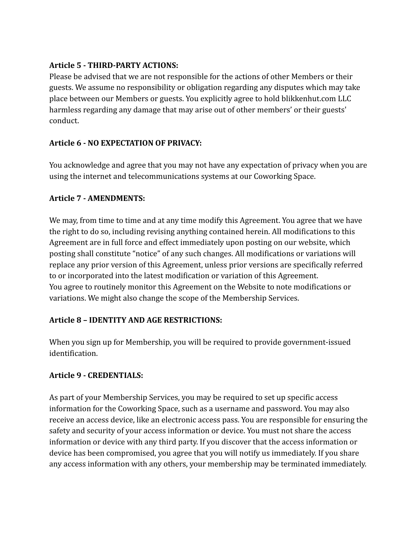#### **Article 5 - THIRD-PARTY ACTIONS:**

Please be advised that we are not responsible for the actions of other Members or their guests. We assume no responsibility or obligation regarding any disputes which may take place between our Members or guests. You explicitly agree to hold blikkenhut.com LLC harmless regarding any damage that may arise out of other members' or their guests' conduct.

#### **Article 6 - NO EXPECTATION OF PRIVACY:**

You acknowledge and agree that you may not have any expectation of privacy when you are using the internet and telecommunications systems at our Coworking Space.

#### **Article 7 - AMENDMENTS:**

We may, from time to time and at any time modify this Agreement. You agree that we have the right to do so, including revising anything contained herein. All modifications to this Agreement are in full force and effect immediately upon posting on our website, which posting shall constitute "notice" of any such changes. All modifications or variations will replace any prior version of this Agreement, unless prior versions are specifically referred to or incorporated into the latest modification or variation of this Agreement. You agree to routinely monitor this Agreement on the Website to note modifications or variations. We might also change the scope of the Membership Services.

#### **Article 8 – IDENTITY AND AGE RESTRICTIONS:**

When you sign up for Membership, you will be required to provide government-issued identification.

#### **Article 9 - CREDENTIALS:**

As part of your Membership Services, you may be required to set up specific access information for the Coworking Space, such as a username and password. You may also receive an access device, like an electronic access pass. You are responsible for ensuring the safety and security of your access information or device. You must not share the access information or device with any third party. If you discover that the access information or device has been compromised, you agree that you will notify us immediately. If you share any access information with any others, your membership may be terminated immediately.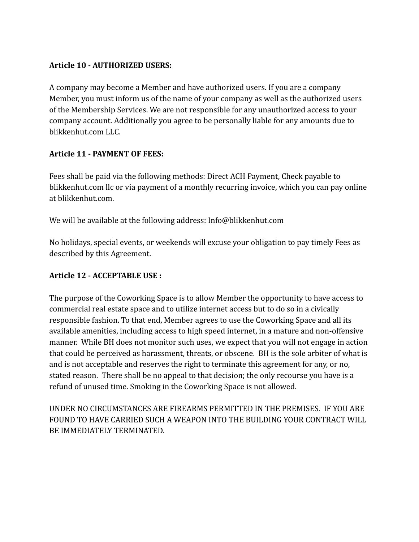# **Article 10 - AUTHORIZED USERS:**

A company may become a Member and have authorized users. If you are a company Member, you must inform us of the name of your company as well as the authorized users of the Membership Services. We are not responsible for any unauthorized access to your company account. Additionally you agree to be personally liable for any amounts due to blikkenhut.com LLC.

# **Article 11 - PAYMENT OF FEES:**

Fees shall be paid via the following methods: Direct ACH Payment, Check payable to blikkenhut.com llc or via payment of a monthly recurring invoice, which you can pay online at blikkenhut.com.

We will be available at the following address: Info@blikkenhut.com

No holidays, special events, or weekends will excuse your obligation to pay timely Fees as described by this Agreement.

#### **Article 12 - ACCEPTABLE USE :**

The purpose of the Coworking Space is to allow Member the opportunity to have access to commercial real estate space and to utilize internet access but to do so in a civically responsible fashion. To that end, Member agrees to use the Coworking Space and all its available amenities, including access to high speed internet, in a mature and non-offensive manner. While BH does not monitor such uses, we expect that you will not engage in action that could be perceived as harassment, threats, or obscene. BH is the sole arbiter of what is and is not acceptable and reserves the right to terminate this agreement for any, or no, stated reason. There shall be no appeal to that decision; the only recourse you have is a refund of unused time. Smoking in the Coworking Space is not allowed.

UNDER NO CIRCUMSTANCES ARE FIREARMS PERMITTED IN THE PREMISES. IF YOU ARE FOUND TO HAVE CARRIED SUCH A WEAPON INTO THE BUILDING YOUR CONTRACT WILL BE IMMEDIATELY TERMINATED.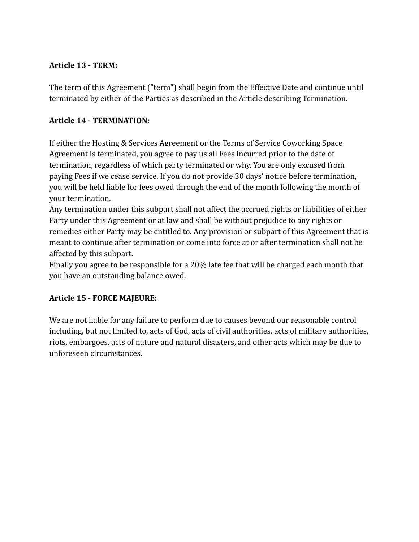#### **Article 13 - TERM:**

The term of this Agreement ("term") shall begin from the Effective Date and continue until terminated by either of the Parties as described in the Article describing Termination.

# **Article 14 - TERMINATION:**

If either the Hosting & Services Agreement or the Terms of Service Coworking Space Agreement is terminated, you agree to pay us all Fees incurred prior to the date of termination, regardless of which party terminated or why. You are only excused from paying Fees if we cease service. If you do not provide 30 days' notice before termination, you will be held liable for fees owed through the end of the month following the month of your termination.

Any termination under this subpart shall not affect the accrued rights or liabilities of either Party under this Agreement or at law and shall be without prejudice to any rights or remedies either Party may be entitled to. Any provision or subpart of this Agreement that is meant to continue after termination or come into force at or after termination shall not be affected by this subpart.

Finally you agree to be responsible for a 20% late fee that will be charged each month that you have an outstanding balance owed.

# **Article 15 - FORCE MAJEURE:**

We are not liable for any failure to perform due to causes beyond our reasonable control including, but not limited to, acts of God, acts of civil authorities, acts of military authorities, riots, embargoes, acts of nature and natural disasters, and other acts which may be due to unforeseen circumstances.